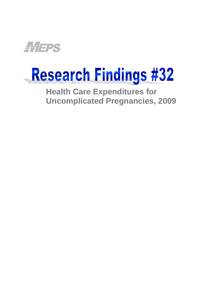

# Research Findings #32

**Health Care Expenditures for Uncomplicated Pregnancies, 2009**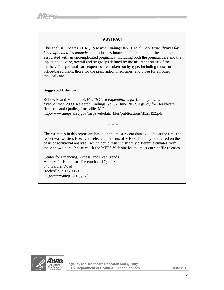#### **ABSTRACT**

This analysis updates AHRQ *Research Findings #27, Health Care Expenditures for Uncomplicated Pregnancies* to produce estimates in 2009 dollars of the expenses associated with an uncomplicated pregnancy, including both the prenatal care and the inpatient delivery, overall and by groups defined by the insurance status of the mother. The prenatal-care expenses are broken out by type, including those for the office-based visits, those for the prescription medicines, and those for all other medical care.

#### **Suggested Citation**

Rohde, F. and Machlin, S. *Health Care Expenditures for Uncomplicated Pregnancies, 2009.* Research Findings No. 32. June 2012. Agency for Healthcare Research and Quality, Rockville, MD. http://www.meps.ahrq.gov/mepsweb/data\_files/publications/rf32/rf32.pdf

∗ ∗ ∗

The estimates in this report are based on the most recent data available at the time the report was written. However, selected elements of MEPS data may be revised on the basis of additional analyses, which could result in slightly different estimates from those shown here. Please check the MEPS Web site for the most current file releases.

Center for Financing, Access, and Cost Trends Agency for Healthcare Research and Quality 540 Gaither Road Rockville, MD 20850 http://www.meps.ahrq.gov/

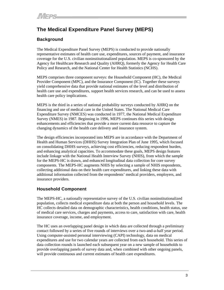# **The Medical Expenditure Panel Survey (MEPS)**

# **Background**

The Medical Expenditure Panel Survey (MEPS) is conducted to provide nationally representative estimates of health care use, expenditures, sources of payment, and insurance coverage for the U.S. civilian noninstitutionalized population. MEPS is co-sponsored by the Agency for Healthcare Research and Quality (AHRQ), formerly the Agency for Health Care Policy and Research, and the National Center for Health Statistics (NCHS).

MEPS comprises three component surveys: the Household Component (HC), the Medical Provider Component (MPC), and the Insurance Component (IC). Together these surveys yield comprehensive data that provide national estimates of the level and distribution of health care use and expenditures, support health services research, and can be used to assess health care policy implications.

MEPS is the third in a series of national probability surveys conducted by AHRQ on the financing and use of medical care in the United States. The National Medical Care Expenditure Survey (NMCES) was conducted in 1977, the National Medical Expenditure Survey (NMES) in 1987. Beginning in 1996, MEPS continues this series with design enhancements and efficiencies that provide a more current data resource to capture the changing dynamics of the health care delivery and insurance system.

The design efficiencies incorporated into MEPS are in accordance with the Department of Health and Human Services (DHHS) Survey Integration Plan of June 1995, which focused on consolidating DHHS surveys, achieving cost efficiencies, reducing respondent burden, and enhancing analytical capacities. To accommodate these goals, MEPS design features include linkage with the National Health Interview Survey (NHIS), from which the sample for the MEPS-HC is drawn, and enhanced longitudinal data collection for core survey components. The MEPS-HC augments NHIS by selecting a sample of NHIS respondents, collecting additional data on their health care expenditures, and linking these data with additional information collected from the respondents' medical providers, employers, and insurance providers.

# **Household Component**

The MEPS-HC, a nationally representative survey of the U.S. civilian noninstitutionalized population, collects medical expenditure data at both the person and household levels. The HC collects detailed data on demographic characteristics, health conditions, health status, use of medical care services, charges and payments, access to care, satisfaction with care, health insurance coverage, income, and employment.

The HC uses an overlapping panel design in which data are collected through a preliminary contact followed by a series of five rounds of interviews over a two-and-a-half year period. Using computer-assisted personal interviewing (CAPI) technology, data on medical expenditures and use for two calendar years are collected from each household. This series of data collection rounds is launched each subsequent year on a new sample of households to provide overlapping panels of survey data and, when combined with other ongoing panels, will provide continuous and current estimates of health care expenditures.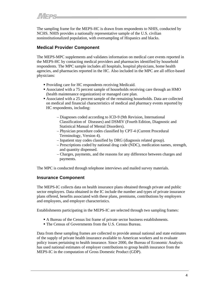The sampling frame for the MEPS-HC is drawn from respondents to NHIS, conducted by NCHS. NHIS provides a nationally representative sample of the U.S. civilian noninstitutionalized population, with oversampling of Hispanics and blacks.

## **Medical Provider Component**

The MEPS-MPC supplements and validates information on medical care events reported in the MEPS-HC by contacting medical providers and pharmacies identified by household respondents. The MPC sample includes all hospitals, hospital physicians, home health agencies, and pharmacies reported in the HC. Also included in the MPC are all office-based physicians:

- **Providing care for HC respondents receiving Medicaid.**
- Associated with a 75 percent sample of households receiving care through an HMO (health maintenance organization) or managed care plan.
- Associated with a 25 percent sample of the remaining households. Data are collected on medical and financial characteristics of medical and pharmacy events reported by HC respondents, including:
	- Diagnoses coded according to ICD-9 (9th Revision, International Classification of Diseases) and DSMIV (Fourth Edition, Diagnostic and Statistical Manual of Mental Disorders).
	- Physician procedure codes classified by CPT-4 (Current Procedural Terminology, Version 4).
	- Inpatient stay codes classified by DRG (diagnosis related group).
	- Prescriptions coded by national drug code (NDC), medication names, strength, and quantity dispensed.
	- Charges, payments, and the reasons for any difference between charges and payments.

The MPC is conducted through telephone interviews and mailed survey materials.

## **Insurance Component**

The MEPS-IC collects data on health insurance plans obtained through private and public sector employers. Data obtained in the IC include the number and types of private insurance plans offered, benefits associated with these plans, premiums, contributions by employers and employees, and employer characteristics.

Establishments participating in the MEPS-IC are selected through two sampling frames:

- A Bureau of the Census list frame of private sector business establishments.
- The Census of Governments from the U.S. Census Bureau.

Data from these sampling frames are collected to provide annual national and state estimates of the supply of private health insurance available to American workers and to evaluate policy issues pertaining to health insurance. Since 2000, the Bureau of Economic Analysis has used national estimates of employer contributions to group health insurance from the MEPS-IC in the computation of Gross Domestic Product (GDP).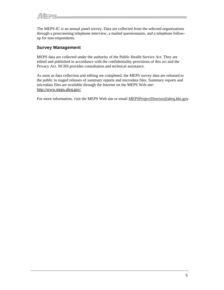The MEPS-IC is an annual panel survey. Data are collected from the selected organizations through a prescreening telephone interview, a mailed questionnaire, and a telephone followup for non-respondents.

## **Survey Management**

MEPS data are collected under the authority of the Public Health Service Act. They are edited and published in accordance with the confidentiality provisions of this act and the Privacy Act. NCHS provides consultation and technical assistance.

As soon as data collection and editing are completed, the MEPS survey data are released to the public in staged releases of summary reports and microdata files. Summary reports and microdata files are available through the Internet on the MEPS Web site: http://www.meps.ahrq.gov/

For more information, visit the MEPS Web site or email [MEPSProjectDirector](mailto:MEPSProjectDirector@ahrq.hhs.gov)@ahrq.hhs.gov.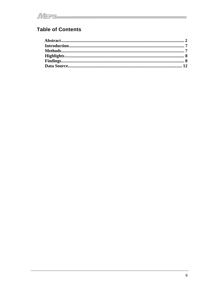# **Table of Contents**

<u> 1989 - Andrea Barbara, manazarta eta programa eta politikaria eta programa eta politika eta programa eta poli</u>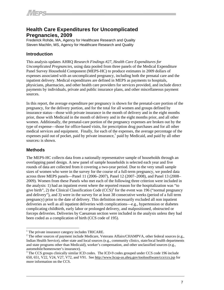# **Health Care Expenditures for Uncomplicated Pregnancies, 2009**

Frederick Rohde, MA, Agency for Healthcare Research and Quality Steven Machlin, MS, Agency for Healthcare Research and Quality

# **Introduction**

This analysis updates AHRQ *Research Findings #27, Health Care Expenditures for Uncomplicated Pregnancies,* using data pooled from three panels of the Medical Expenditure Panel Survey Household Component (MEPS-HC) to produce estimates in 2009 dollars of expenses associated with an uncomplicated pregnancy, including both the prenatal care and the inpatient delivery. Medical expenditures are defined in MEPS as payments to hospitals, physicians, pharmacies, and other health care providers for services provided, and include direct payments by individuals, private and public insurance plans, and other miscellaneous payment sources.

In this report, the average expenditure per pregnancy is shown for the prenatal-care portion of the pregnancy, for the delivery portion, and for the total for all women and groups defined by insurance status—those with private insurance in the month of delivery and in the eight months prior, those with Medicaid in the month of delivery and in the eight months prior, and all other women. Additionally, the prenatal-care portion of the pregnancy expenses are broken out by the type of expense—those for office-based visits, for prescription drug purchases and for all other medical services and equipment. Finally, for each of the expenses, the average percentage of the expenses paid out of pocket, paid by private insurance,  $\frac{1}{2}$  paid by Medicaid, and paid by all other sources<sub>2</sub> is shown.

# **Methods**

The MEPS-HC collects data from a nationally representative sample of households through an overlapping panel design. A new panel of sample households is selected each year and five rounds of data are collected from it covering a two-year period. Due to the very small sample sizes of women who were in the survey for the course of a full-term pregnancy, we pooled data across three MEPS panels—Panel 11 (2006–2007), Panel 12 (2007–2008), and Panel 13 (2008– 2009). Women from these Panels who met each of the following three criterion were included in the analysis: 1) had an inpatient event where the reported reason for the hospitalization was "to give birth", 2) the Clinical Classification Code  $(CCS)^3$  for the event was 196 ("normal pregnancy and delivery"), and 3) were in the survey for at least 38 consecutive weeks (period of a full term pregnancy) prior to the date of delivery. This definition necessarily excluded all non inpatient deliveries as well as all inpatient deliveries with complications—e.g., hypertension or diabetes complicating childbirth, early labor or prolonged delivery, and malpositioned, obstructed or forceps deliveries. Deliveries by Caesarean section were included in the analysis unless they had been coded as a complication of birth (CCS code of 195).

 $\frac{1}{1}$  $<sup>1</sup>$  The private insurance category includes TRICARE.</sup>

<sup>&</sup>lt;sup>2</sup> The other sources of payment include Medicare, Veterans Affairs/CHAMPVA, other federal sources (e.g., Indian Health Service), other state and local sources (e.g., community clinics, state/local health departments and state programs other than Medicaid), worker's compensation, and other unclassified sources (e.g., automobile/homeowner's insurance).

<sup>&</sup>lt;sup>3</sup> The CCS groups clinically similar ICD codes. The ICD-9 codes grouped under CCS code 196 include 650, 651, V22, V24, V27, V72, and V91. See http://www.hcup-us.ahrq.gov/toolssoftware/ccs/ccs.jsp for more information on the CCS.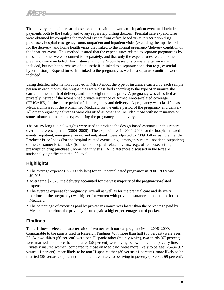The delivery expenditures are those associated with the woman's inpatient event and include payments both to the facility and to any separately billing doctors. Prenatal care expenditures were obtained by compiling the medical events from office-based visits, prescription drug purchases, hospital emergency room, outpatient and inpatient visits (excluding the inpatient visit for the delivery) and home health visits that linked to the normal pregnancy/delivery condition on the inpatient event. This method insured that the expenditures related to separate pregnancies by the same mother were accounted for separately, and that only the expenditures related to the pregnancy were included. For instance, a mother's purchases of a prenatal vitamin were included, but not her purchases of a diuretic if it linked to a separate condition (e.g., essential hypertension). Expenditures that linked to the pregnancy as well as a separate condition were included.

Using detailed information collected in MEPS about the type of insurance carried by each sample person in each month, the pregnancies were classified according to the type of insurance she carried in the month of delivery and in the eight months prior. A pregnancy was classified as privately insured if the woman had private insurance or Armed Forces–related coverage (TRICARE) for the entire period of the pregnancy and delivery. A pregnancy was classified as Medicaid insured if the woman had Medicaid for the entire period of the pregnancy and delivery. All other pregnancy/deliveries were classified as other and included those with no insurance or some mixture of insurance types during the pregnancy and delivery.

The MEPS longitudinal weights were used to produce the design-based estimates in this report over the reference period (2006–2009). The expenditures in 2006–2008 for the hospital-related events (inpatient, emergency room, and outpatient) were adjusted to 2009 dollars using either the Producer Price Index (for the hospital-related events: e.g., emergency room, inpatient, outpatient) or the Consumer Price Index (for the non hospital-related events: e.g., office-based visits, prescription drug purchases, home health visits). All differences discussed in the text are statistically significant at the .05 level.

# **Highlights**

- The average expense (in 2009 dollars) for an uncomplicated pregnancy in 2006–2009 was \$9,705.
- Averaging \$7,873, the delivery accounted for the vast majority of the pregnancy-related expense.
- The average expense for pregnancy (overall as well as for the prenatal care and delivery portions of the pregnancy) was higher for women with private insurance compared to those on Medicaid.
- The percentage of expenses paid by private insurance was lower than the percentage paid by Medicaid; therefore, the privately insured paid a higher percentage out of pocket.

# **Findings**

Table 1 shows selected characteristics of women with normal pregnancies in 2006–2009. Comparable to the panels used in Research Findings #27, more than half (55 percent) were ages 25–34, two-thirds (66 percent) were non-Hispanic other (mainly white), two-thirds (67 percent) were married, and more than a quarter (28 percent) were living below the federal poverty line. Privately insured women, compared to those on Medicaid, were more likely to be ages 25–34 (62 verses 41 percent), more likely to be non-Hispanic other (80 versus 41 percent), more likely to be married (88 versus 27 percent), and much less likely to be living in poverty (4 versus 69 percent).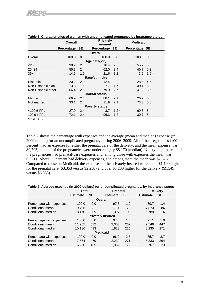|                       | <b>Overall</b> |     | <b>Privately</b><br>insured |        | <b>Medicaid</b> |        |  |  |  |
|-----------------------|----------------|-----|-----------------------------|--------|-----------------|--------|--|--|--|
|                       | Percentage SE  |     | Percentage SE               |        | Percentage SE   |        |  |  |  |
|                       |                |     | Overall                     |        |                 |        |  |  |  |
| Overall               | 100.0          | 0.0 | 100.0                       | 0.0    | 100.0           | 0.0    |  |  |  |
|                       |                |     | Age category                |        |                 |        |  |  |  |
| $<$ 25                | 30.2           | 2.3 | 16.4                        | 2.7    | 55.7            | 5.3    |  |  |  |
| $25 - 34$             | 55.3           | 2.4 | 62.0                        | 3.4    | 40.7            | 5.2    |  |  |  |
| $35+$                 | 14.5           | 1.9 | 21.6                        | 3.2    | 3.6             | $1.6*$ |  |  |  |
|                       |                |     | <b>Race/ethnicity</b>       |        |                 |        |  |  |  |
| Hispanic              | 20.2           | 2.0 | 12.4                        | 2.2    | 28.5            | 4.5    |  |  |  |
| Non-Hispanic black    | 13.3           | 1.6 | 7.7                         | 1.7    | 30.1            | 5.0    |  |  |  |
| Non-Hispanic other    | 66.4           | 2.5 | 79.9                        | 2.7    | 41.3            | 5.6    |  |  |  |
| <b>Marital status</b> |                |     |                             |        |                 |        |  |  |  |
| Married               | 66.9           | 2.4 | 88.1                        | 2.1    | 26.7            | 5.0    |  |  |  |
| Not married           | 33.1           | 2.4 | 11.9                        | 2.1    | 73.3            | - 5.0  |  |  |  |
|                       |                |     | <b>Poverty status</b>       |        |                 |        |  |  |  |
| <100% FPL             | 27.9           | 2.4 | 3.7                         | $1.2*$ | 69.3            | 5.4    |  |  |  |
| 100%+ FPL<br>$- - -$  | 72.1           | 2.4 | 96.3                        | 1.2    | 30.7            | 5.4    |  |  |  |

#### **Table 1. Characteristics of women with uncomplicated pregnancy by insurance status**

```
*RSE < .3
```
Table 2 shows the percentage with expenses and the average (mean and median) expense (in 2009 dollars) for an uncomplicated pregnancy during 2006–2009. All of the pregnancies (100 percent) had an expense for either the prenatal care or the delivery, and the mean expense was \$9,705, but half of the pregnancies were under roughly \$8,170 (median). Ninety-eight percent of the pregnancies had prenatal-care expenses and, among those with expenses the mean was \$2,711. About 90 percent had delivery expenses, and among them the mean was \$7,873. Compared to those on Medicaid, the expenses of the privately insured were about \$1,100 higher for the prenatal care (\$3,353 versus \$2,230) and over \$3,200 higher for the delivery (\$9,549 versus \$6,333).

#### **Table 2. Average expense (in 2009 dollars) for uncomplicated pregnancy, by insurance status**

|                          | <b>Total</b>    |           | <b>Delivery</b>          |           |                 |           |  |  |  |
|--------------------------|-----------------|-----------|--------------------------|-----------|-----------------|-----------|--|--|--|
|                          | <b>Estimate</b> | <b>SE</b> | <b>Estimate</b>          | <b>SE</b> | <b>Estimate</b> | <b>SE</b> |  |  |  |
|                          |                 |           | Overall                  |           |                 |           |  |  |  |
| Percentage with expenses | 100.0           | 0.0       | 97.5                     | 1.0       | 89.7            | 1.4       |  |  |  |
| Conditional mean         | 9.705           | 331       | 2.711                    | 172       | 7.873           | 286       |  |  |  |
| Conditional median       | 8.170           | 309       | 1.397                    | 102       | 6.789           | 216       |  |  |  |
|                          |                 |           | <b>Privately insured</b> |           |                 |           |  |  |  |
| Percentage with expenses | 100.0           | 0.0       | 97.0                     | 1.6       | 91.1            | 1.9       |  |  |  |
| Conditional mean         | 11,955          | 532       | 3,353                    | 262       | 9,549           | 447       |  |  |  |
| Conditional median       | 10.186          | 433       | 1,828                    | 225       | 8,235           | 271       |  |  |  |
| <b>Medicaid</b>          |                 |           |                          |           |                 |           |  |  |  |
| Percentage with expenses | 100.0           | 0.0       | 96.2                     | 2.5       | 85.7            | 3.7       |  |  |  |
| Conditional mean         | 7.574           | 479       | 2.230                    | 271       | 6.333           | 364       |  |  |  |
| Conditional median       | 6,250           | 465       | 1,362                    | 172       | 5,767           | 223       |  |  |  |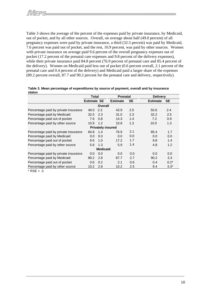Table 3 shows the average of the percent of the expenses paid by private insurance, by Medicaid, out of pocket, and by all other sources. Overall, on average about half (49.0 percent) of all pregnancy expenses were paid by private insurance, a third (32.5 percent) was paid by Medicaid, 7.6 percent was paid out of pocket, and the rest, 10.9 percent, was paid by other sources. Women with private insurance on average paid 9.6 percent of the overall pregnancy expenses out of pocket (17.2 percent of the prenatal care expenses and 9.8 percent of the delivery expenses), while their private insurance paid 84.8 percent (76.9 percent of prenatal care and 85.4 percent of the delivery). Women on Medicaid paid less out of pocket (0.6 percent overall, 2.1 percent of the prenatal care and 0.4 percent of the delivery) and Medicaid paid a larger share of the expenses (89.2 percent overall, 87.7 and 90.2 percent for the prenatal care and delivery, respectively).

| Table 3. Mean percentage of expenditures by source of payment, overall and by insurance<br>status |              |                 |                 |
|---------------------------------------------------------------------------------------------------|--------------|-----------------|-----------------|
|                                                                                                   | <b>Total</b> | <b>Dranatal</b> | <b>Delivery</b> |

|                                      | <b>Total</b>       |     | <b>Delivery</b>          |           |                              |  |  |  |  |  |
|--------------------------------------|--------------------|-----|--------------------------|-----------|------------------------------|--|--|--|--|--|
|                                      | <b>Estimate SE</b> |     | <b>Estimate</b>          | <b>SE</b> | <b>SE</b><br><b>Estimate</b> |  |  |  |  |  |
| Overall                              |                    |     |                          |           |                              |  |  |  |  |  |
| Percentage paid by private insurance | 49.0               | 2.3 | 43.9                     | 2.5       | 2.4<br>50.6                  |  |  |  |  |  |
| Percentage paid by Medicaid          | 32.5               | 2.3 | 31.0                     | 2.3       | 2.5<br>32.2                  |  |  |  |  |  |
| Percentage paid out of pocket        | 7.6                | 0.8 | 14.3                     | 1.4       | 0.9<br>7.2                   |  |  |  |  |  |
| Percentage paid by other source      | 10.9               | 1.2 | 10.8                     | 1.3       | 1.3<br>10.0                  |  |  |  |  |  |
|                                      |                    |     | <b>Privately insured</b> |           |                              |  |  |  |  |  |
| Percentage paid by private insurance | 84.8               | 1.4 | 76.9                     | 2.1       | 1.7<br>85.4                  |  |  |  |  |  |
| Percentage paid by Medicaid          | 0.0                | 0.0 | 0.0                      | 0.0       | 0.0<br>0.0                   |  |  |  |  |  |
| Percentage paid out of pocket        | 9.6                | 1.0 | 17.2                     | 1.7       | 9.8<br>1.4                   |  |  |  |  |  |
| Percentage paid by other source      | 5.6                | 1.3 | 5.9                      | 1.4       | 1.2<br>4.8                   |  |  |  |  |  |
| <b>Medicaid</b>                      |                    |     |                          |           |                              |  |  |  |  |  |
| Percentage paid by private insurance | 0.0                | 0.0 | 0.0                      | 0.0       | 0.0<br>0.0                   |  |  |  |  |  |
| Percentage paid by Medicaid          | 89.2               | 2.8 | 87.7                     | 2.7       | 90.2<br>3.3                  |  |  |  |  |  |
| Percentage paid out of pocket        | 0.6                | 0.2 | 2.1                      | 0.6       | $0.2*$<br>0.4                |  |  |  |  |  |
| Percentage paid by other source      | 10.2               | 2.8 | 10.2                     | 2.5       | $3.3*$<br>9.4                |  |  |  |  |  |

 $*$  RSE < .3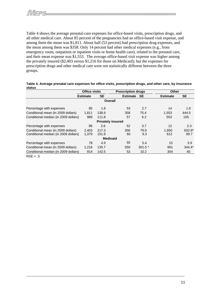Table 4 shows the average prenatal-care expenses for office-based visits, prescription drugs, and all other medical care. About 85 percent of the pregnancies had an office-based visit expense, and among them the mean was \$1,811. About half (53 percent) had prescription drug expenses, and the mean among them was \$358. Only 14 percent had other medical expenses (e.g., from emergency room, outpatient or inpatient visits or home health care), related to the prenatal care, and their mean expense was \$1,553. The average office-based visit expense was higher among the privately insured (\$2,403 versus \$1,216 for those on Medicaid); but the expenses for prescription drugs and other medical care were not statistically different between the three groups.

|                                                                            | <b>Office visits</b> |                | <b>Prescription drugs</b> |             | <b>Other</b>    |                |
|----------------------------------------------------------------------------|----------------------|----------------|---------------------------|-------------|-----------------|----------------|
|                                                                            | <b>Estimate</b>      | <b>SE</b>      | <b>Estimate</b>           | <b>SE</b>   | <b>Estimate</b> | <b>SE</b>      |
|                                                                            |                      |                | <b>Overall</b>            |             |                 |                |
| Percentage with expenses                                                   | 85                   | 1.8            | 53                        | 2.7         | 14              | 1.8            |
| Conditional mean (in 2009 dollars)                                         | 1,811                | 138.9          | 358                       | 75.4        | 1,553           | 444.5          |
| Conditional median (in 2009 dollars)                                       | 989                  | 111.8          | 57                        | 6.2         | 553             | 105            |
|                                                                            |                      |                | <b>Privately insured</b>  |             |                 |                |
| Percentage with expenses                                                   | 86                   | 2.6            | 52                        | 3.7         | 12              | 2.3            |
| Conditional mean (in 2009 dollars)<br>Conditional median (in 2009 dollars) | 2.403<br>1,379       | 217.3<br>151.8 | 358<br>60                 | 79.9<br>9.3 | 1.850<br>612    | 832.8*<br>99.7 |
|                                                                            |                      |                | <b>Medicaid</b>           |             |                 |                |
| Percentage with expenses                                                   | 78                   | 4.9            | 55                        | 5.4         | 15              | 3.9            |
| Conditional mean (in 2009 dollars)                                         | 1,216                | 135.7          | 550                       | $301.5*$    | 991             | $344.4*$       |
| Conditional median (in 2009 dollars)                                       | 914                  | 142.5          | 53                        | 10.2        | 304             | 40             |
|                                                                            |                      |                |                           |             |                 |                |

| Table 4. Average prenatal care expenses for office visits, prescription drugs, and other care, by insurance |  |
|-------------------------------------------------------------------------------------------------------------|--|
| status                                                                                                      |  |

 $RSE < .3$